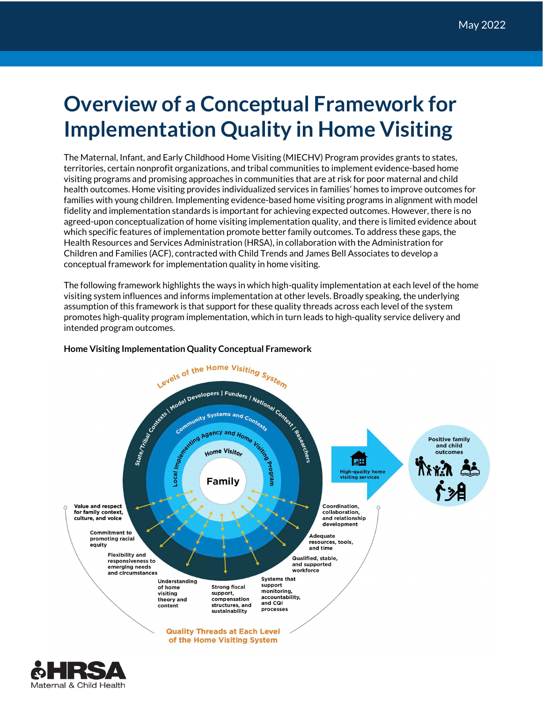## **Overview of a Conceptual Framework for Implementation Quality in Home Visiting**

The Maternal, Infant, and Early Childhood Home Visiting (MIECHV) Program provides grants to states, territories, certain nonprofit organizations, and tribal communities to implement evidence-based home visiting programs and promising approaches in communities that are at risk for poor maternal and child health outcomes. Home visiting provides individualized services in families' homes to improve outcomes for families with young children. Implementing evidence-based home visiting programs in alignment with model fidelity and implementation standards is important for achieving expected outcomes. However, there is no agreed-upon conceptualization of home visiting implementation quality, and there is limited evidence about which specific features of implementation promote better family outcomes. To address these gaps, the Health Resources and Services Administration (HRSA), in collaboration with the Administration for Children and Families (ACF), contracted with Child Trends and James Bell Associates to develop a conceptual framework for implementation quality in home visiting.

The following framework highlights the ways in which high-quality implementation at each level of the home visiting system influences and informs implementation at other levels. Broadly speaking, the underlying assumption of this framework is that support for these quality threads across each level of the system promotes high-quality program implementation, which in turn leads to high-quality service delivery and intended program outcomes.



## **Home Visiting Implementation Quality Conceptual Framework**